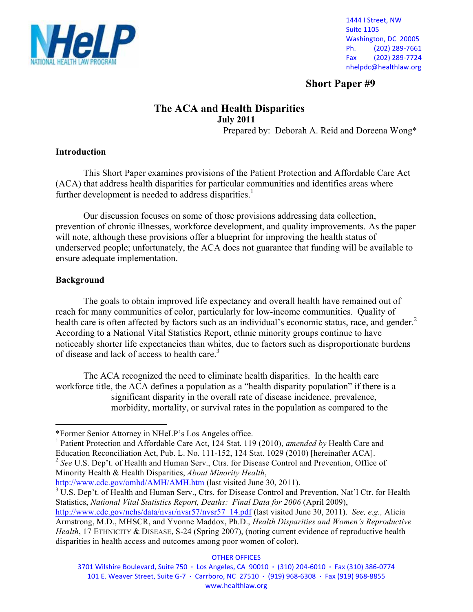

1444 I Street, NW **Suite 1105** Washington, DC 20005 Ph. (202) 289-7661 Fax (202) 289-7724 nhelpdc@healthlaw.org

**Short Paper #9**

# **The ACA and Health Disparities July 2011**

Prepared by: Deborah A. Reid and Doreena Wong\*

### **Introduction**

This Short Paper examines provisions of the Patient Protection and Affordable Care Act (ACA) that address health disparities for particular communities and identifies areas where further development is needed to address disparities.<sup>1</sup>

Our discussion focuses on some of those provisions addressing data collection, prevention of chronic illnesses, workforce development, and quality improvements. As the paper will note, although these provisions offer a blueprint for improving the health status of underserved people; unfortunately, the ACA does not guarantee that funding will be available to ensure adequate implementation.

# **Background**

-

The goals to obtain improved life expectancy and overall health have remained out of reach for many communities of color, particularly for low-income communities. Quality of health care is often affected by factors such as an individual's economic status, race, and gender.<sup>2</sup> According to a National Vital Statistics Report, ethnic minority groups continue to have noticeably shorter life expectancies than whites, due to factors such as disproportionate burdens of disease and lack of access to health care.<sup>3</sup>

The ACA recognized the need to eliminate health disparities. In the health care workforce title, the ACA defines a population as a "health disparity population" if there is a significant disparity in the overall rate of disease incidence, prevalence, morbidity, mortality, or survival rates in the population as compared to the

<sup>1</sup> Patient Protection and Affordable Care Act, 124 Stat. 119 (2010), *amended by* Health Care and Education Reconciliation Act, Pub. L. No. 111-152, 124 Stat. 1029 (2010) [hereinafter ACA]. <sup>2</sup> See U.S. Dep't. of Health and Human Serv., Ctrs. for Disease Control and Prevention, Office of

Minority Health & Health Disparities, *About Minority Health*,

http://www.cdc.gov/omhd/AMH/AMH.htm (last visited June 30, 2011).

<sup>3</sup> U.S. Dep't. of Health and Human Serv., Ctrs. for Disease Control and Prevention, Nat'l Ctr. for Health Statistics, *National Vital Statistics Report, Deaths: Final Data for 2006* (April 2009),

**OTHER OFFICES** 

<sup>\*</sup>Former Senior Attorney in NHeLP's Los Angeles office.

http://www.cdc.gov/nchs/data/nvsr/nvsr57/nvsr57\_14.pdf (last visited June 30, 2011). *See, e.g.,* Alicia Armstrong, M.D., MHSCR, and Yvonne Maddox, Ph.D., *Health Disparities and Women's Reproductive Health*, 17 ETHNICITY & DISEASE, S-24 (Spring 2007), (noting current evidence of reproductive health disparities in health access and outcomes among poor women of color).

<sup>3701</sup> Wilshire Boulevard, Suite 750 · Los Angeles, CA 90010 · (310) 204-6010 · Fax (310) 386-0774 101 E. Weaver Street, Suite G-7 · Carrboro, NC 27510 · (919) 968-6308 · Fax (919) 968-8855 www.healthlaw.org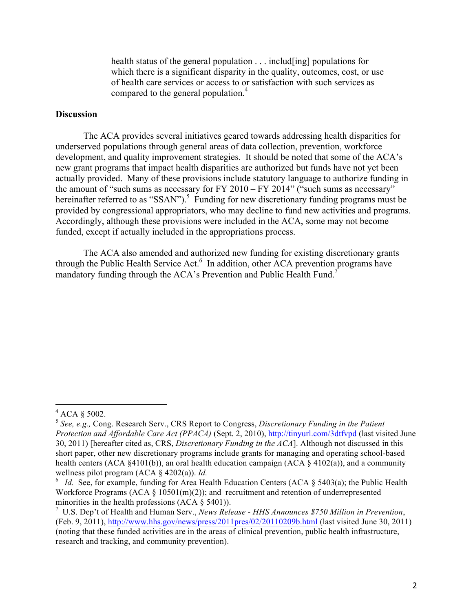health status of the general population . . . includ[ing] populations for which there is a significant disparity in the quality, outcomes, cost, or use of health care services or access to or satisfaction with such services as compared to the general population.<sup>4</sup>

### **Discussion**

The ACA provides several initiatives geared towards addressing health disparities for underserved populations through general areas of data collection, prevention, workforce development, and quality improvement strategies. It should be noted that some of the ACA's new grant programs that impact health disparities are authorized but funds have not yet been actually provided. Many of these provisions include statutory language to authorize funding in the amount of "such sums as necessary for FY 2010 – FY 2014" ("such sums as necessary" hereinafter referred to as "SSAN").<sup>5</sup> Funding for new discretionary funding programs must be provided by congressional appropriators, who may decline to fund new activities and programs. Accordingly, although these provisions were included in the ACA, some may not become funded, except if actually included in the appropriations process.

The ACA also amended and authorized new funding for existing discretionary grants through the Public Health Service Act.<sup>6</sup> In addition, other ACA prevention programs have mandatory funding through the ACA's Prevention and Public Health Fund.<sup>7</sup>

 $4$  ACA  $§$  5002.

<sup>5</sup> *See, e.g.,* Cong. Research Serv., CRS Report to Congress, *Discretionary Funding in the Patient Protection and Affordable Care Act (PPACA)* (Sept. 2, 2010), http://tinyurl.com/3dtfvpd (last visited June 30, 2011) [hereafter cited as, CRS, *Discretionary Funding in the ACA*]. Although not discussed in this short paper, other new discretionary programs include grants for managing and operating school-based health centers (ACA §4101(b)), an oral health education campaign (ACA § 4102(a)), and a community wellness pilot program (ACA § 4202(a)). *Id.*

 $\delta$  *Id.* See, for example, funding for Area Health Education Centers (ACA § 5403(a); the Public Health Workforce Programs (ACA  $\S$  10501(m)(2)); and recruitment and retention of underrepresented minorities in the health professions (ACA § 5401)).

<sup>7</sup> U.S. Dep't of Health and Human Serv., *News Release - HHS Announces \$750 Million in Prevention*, (Feb. 9, 2011), http://www.hhs.gov/news/press/2011pres/02/20110209b.html (last visited June 30, 2011) (noting that these funded activities are in the areas of clinical prevention, public health infrastructure, research and tracking, and community prevention).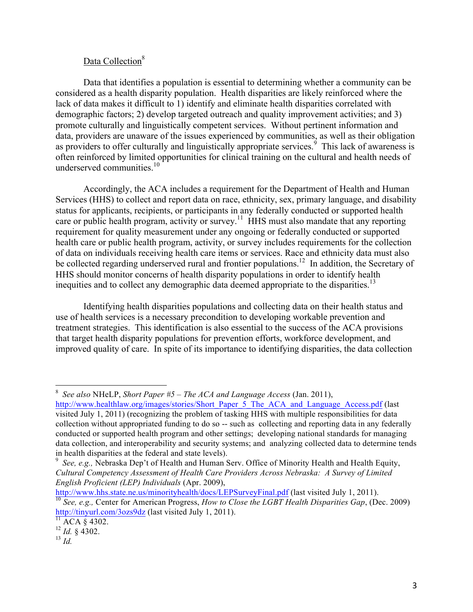# Data Collection<sup>8</sup>

Data that identifies a population is essential to determining whether a community can be considered as a health disparity population. Health disparities are likely reinforced where the lack of data makes it difficult to 1) identify and eliminate health disparities correlated with demographic factors; 2) develop targeted outreach and quality improvement activities; and 3) promote culturally and linguistically competent services. Without pertinent information and data, providers are unaware of the issues experienced by communities, as well as their obligation as providers to offer culturally and linguistically appropriate services.<sup>9</sup> This lack of awareness is often reinforced by limited opportunities for clinical training on the cultural and health needs of underserved communities. 10

Accordingly, the ACA includes a requirement for the Department of Health and Human Services (HHS) to collect and report data on race, ethnicity, sex, primary language, and disability status for applicants, recipients, or participants in any federally conducted or supported health care or public health program, activity or survey.<sup>11</sup> HHS must also mandate that any reporting requirement for quality measurement under any ongoing or federally conducted or supported health care or public health program, activity, or survey includes requirements for the collection of data on individuals receiving health care items or services. Race and ethnicity data must also be collected regarding underserved rural and frontier populations.<sup>12</sup> In addition, the Secretary of HHS should monitor concerns of health disparity populations in order to identify health inequities and to collect any demographic data deemed appropriate to the disparities.<sup>13</sup>

Identifying health disparities populations and collecting data on their health status and use of health services is a necessary precondition to developing workable prevention and treatment strategies. This identification is also essential to the success of the ACA provisions that target health disparity populations for prevention efforts, workforce development, and improved quality of care. In spite of its importance to identifying disparities, the data collection

http://www.hhs.state.ne.us/minorityhealth/docs/LEPSurveyFinal.pdf (last visited July 1, 2011). <sup>10</sup> *See, e.g.,* Center for American Progress, *How to Close the LGBT Health Disparities Gap*, (Dec. 2009) http://tinyurl.com/3ozs9dz (last visited July 1, 2011).

 <sup>8</sup> *See also* NHeLP, *Short Paper #5 – The ACA and Language Access* (Jan. 2011), http://www.healthlaw.org/images/stories/Short\_Paper\_5\_The\_ACA\_and\_Language\_Access.pdf (last

visited July 1, 2011) (recognizing the problem of tasking HHS with multiple responsibilities for data collection without appropriated funding to do so -- such as collecting and reporting data in any federally conducted or supported health program and other settings; developing national standards for managing data collection, and interoperability and security systems; and analyzing collected data to determine tends in health disparities at the federal and state levels).

<sup>9</sup> *See, e.g.,* Nebraska Dep't of Health and Human Serv. Office of Minority Health and Health Equity, *Cultural Competency Assessment of Health Care Providers Across Nebraska: A Survey of Limited English Proficient (LEP) Individuals* (Apr. 2009),

 $^{11}$  ACA § 4302.

<sup>12</sup> *Id.* § 4302. 13 *Id.*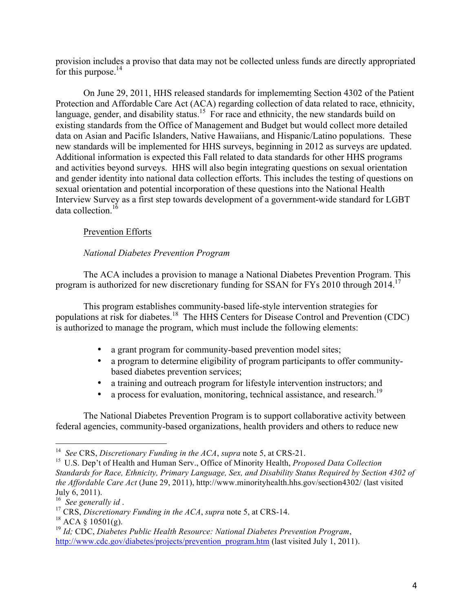provision includes a proviso that data may not be collected unless funds are directly appropriated for this purpose. $^{14}$ 

On June 29, 2011, HHS released standards for implememting Section 4302 of the Patient Protection and Affordable Care Act (ACA) regarding collection of data related to race, ethnicity, language, gender, and disability status.<sup>15</sup> For race and ethnicity, the new standards build on existing standards from the Office of Management and Budget but would collect more detailed data on Asian and Pacific Islanders, Native Hawaiians, and Hispanic/Latino populations. These new standards will be implemented for HHS surveys, beginning in 2012 as surveys are updated. Additional information is expected this Fall related to data standards for other HHS programs and activities beyond surveys. HHS will also begin integrating questions on sexual orientation and gender identity into national data collection efforts. This includes the testing of questions on sexual orientation and potential incorporation of these questions into the National Health Interview Survey as a first step towards development of a government-wide standard for LGBT data collection  $16$ 

# Prevention Efforts

### *National Diabetes Prevention Program*

The ACA includes a provision to manage a National Diabetes Prevention Program. This program is authorized for new discretionary funding for SSAN for FYs 2010 through 2014.<sup>17</sup>

This program establishes community-based life-style intervention strategies for populations at risk for diabetes.<sup>18</sup> The HHS Centers for Disease Control and Prevention (CDC) is authorized to manage the program, which must include the following elements:

- a grant program for community-based prevention model sites;
- a program to determine eligibility of program participants to offer communitybased diabetes prevention services;
- a training and outreach program for lifestyle intervention instructors; and
- a process for evaluation, monitoring, technical assistance, and research.<sup>19</sup>

The National Diabetes Prevention Program is to support collaborative activity between federal agencies, community-based organizations, health providers and others to reduce new

 <sup>14</sup> *See* CRS, *Discretionary Funding in the ACA*, *supra* note 5, at CRS-21.

<sup>15</sup> U.S. Dep't of Health and Human Serv., Office of Minority Health, *Proposed Data Collection Standards for Race, Ethnicity, Primary Language, Sex, and Disability Status Required by Section 4302 of the Affordable Care Act* (June 29, 2011), http://www.minorityhealth.hhs.gov/section4302/ (last visited July 6, 2011). <sup>16</sup>*See generally id* . <sup>17</sup> CRS, *Discretionary Funding in the ACA*, *supra* note 5, at CRS-14.

 $18$  ACA § 10501(g).

<sup>19</sup> *Id;* CDC, *Diabetes Public Health Resource: National Diabetes Prevention Program*, http://www.cdc.gov/diabetes/projects/prevention\_program.htm (last visited July 1, 2011).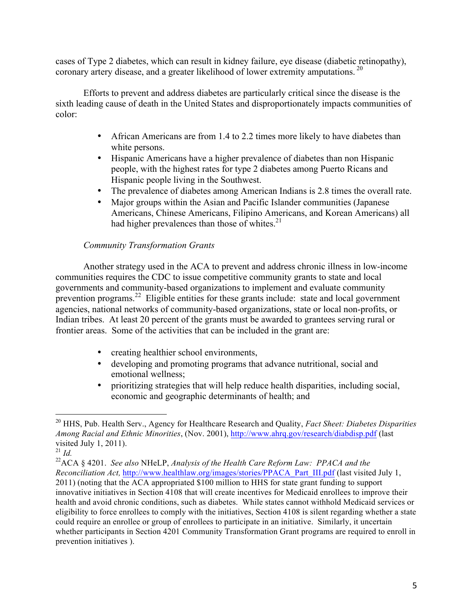cases of Type 2 diabetes, which can result in kidney failure, eye disease (diabetic retinopathy), coronary artery disease, and a greater likelihood of lower extremity amputations.<sup>20</sup>

Efforts to prevent and address diabetes are particularly critical since the disease is the sixth leading cause of death in the United States and disproportionately impacts communities of color:

- African Americans are from 1.4 to 2.2 times more likely to have diabetes than white persons.
- Hispanic Americans have a higher prevalence of diabetes than non Hispanic people, with the highest rates for type 2 diabetes among Puerto Ricans and Hispanic people living in the Southwest.
- The prevalence of diabetes among American Indians is 2.8 times the overall rate.
- Major groups within the Asian and Pacific Islander communities (Japanese Americans, Chinese Americans, Filipino Americans, and Korean Americans) all had higher prevalences than those of whites. $21$

# *Community Transformation Grants*

Another strategy used in the ACA to prevent and address chronic illness in low-income communities requires the CDC to issue competitive community grants to state and local governments and community-based organizations to implement and evaluate community prevention programs.<sup>22</sup> Eligible entities for these grants include: state and local government agencies, national networks of community-based organizations, state or local non-profits, or Indian tribes. At least 20 percent of the grants must be awarded to grantees serving rural or frontier areas. Some of the activities that can be included in the grant are:

- creating healthier school environments,
- developing and promoting programs that advance nutritional, social and emotional wellness;
- prioritizing strategies that will help reduce health disparities, including social, economic and geographic determinants of health; and

 <sup>20</sup> HHS, Pub. Health Serv., Agency for Healthcare Research and Quality, *Fact Sheet: Diabetes Disparities Among Racial and Ethnic Minorities*, (Nov. 2001), http://www.ahrq.gov/research/diabdisp.pdf (last visited July 1, 2011).

<sup>21</sup> *Id.*

<sup>22</sup>ACA § 4201. *See also* NHeLP, *Analysis of the Health Care Reform Law: PPACA and the Reconciliation Act,* http://www.healthlaw.org/images/stories/PPACA\_Part\_III.pdf (last visited July 1, 2011) (noting that the ACA appropriated \$100 million to HHS for state grant funding to support innovative initiatives in Section 4108 that will create incentives for Medicaid enrollees to improve their health and avoid chronic conditions, such as diabetes. While states cannot withhold Medicaid services or eligibility to force enrollees to comply with the initiatives, Section 4108 is silent regarding whether a state could require an enrollee or group of enrollees to participate in an initiative. Similarly, it uncertain whether participants in Section 4201 Community Transformation Grant programs are required to enroll in prevention initiatives ).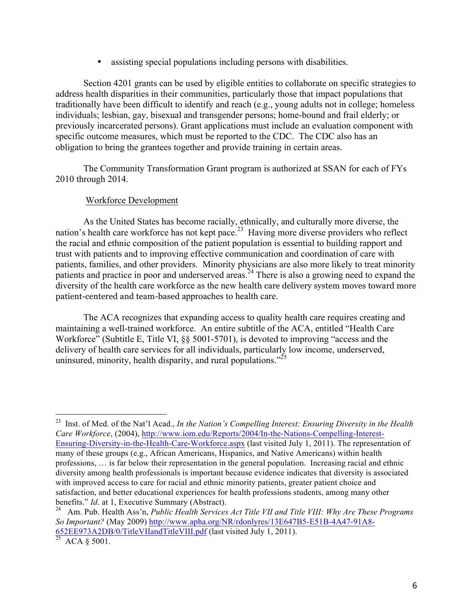assisting special populations including persons with disabilities.

Section 4201 grants can be used by eligible entities to collaborate on specific strategies to address health disparities in their communities, particularly those that impact populations that traditionally have been difficult to identify and reach (e.g., young adults not in college; homeless individuals; lesbian, gay, bisexual and transgender persons; home-bound and frail elderly; or previously incarcerated persons). Grant applications must include an evaluation component with specific outcome measures, which must be reported to the CDC. The CDC also has an obligation to bring the grantees together and provide training in certain areas.

The Community Transformation Grant program is authorized at SSAN for each of FYs 2010 through 2014.

# Workforce Development

As the United States has become racially, ethnically, and culturally more diverse, the nation's health care workforce has not kept pace.<sup>23</sup> Having more diverse providers who reflect the racial and ethnic composition of the patient population is essential to building rapport and trust with patients and to improving effective communication and coordination of care with patients, families, and other providers. Minority physicians are also more likely to treat minority patients and practice in poor and underserved areas.<sup>24</sup> There is also a growing need to expand the diversity of the health care workforce as the new health care delivery system moves toward more patient-centered and team-based approaches to health care.

The ACA recognizes that expanding access to quality health care requires creating and maintaining a well-trained workforce. An entire subtitle of the ACA, entitled "Health Care Workforce" (Subtitle E, Title VI, §§ 5001-5701), is devoted to improving "access and the delivery of health care services for all individuals, particularly low income, underserved, uninsured, minority, health disparity, and rural populations. $125$ 

 <sup>23</sup> Inst. of Med. of the Nat'l Acad., *In the Nation's Compelling Interest: Ensuring Diversity in the Health Care Workforce*, (2004), http://www.iom.edu/Reports/2004/In-the-Nations-Compelling-Interest-Ensuring-Diversity-in-the-Health-Care-Workforce.aspx (last visited July 1, 2011). The representation of many of these groups (e.g., African Americans, Hispanics, and Native Americans) within health professions, … is far below their representation in the general population. Increasing racial and ethnic diversity among health professionals is important because evidence indicates that diversity is associated with improved access to care for racial and ethnic minority patients, greater patient choice and satisfaction, and better educational experiences for health professions students, among many other benefits." *Id.* at 1, Executive Summary (Abstract).<br><sup>24</sup> Am Pub, Health Ass'n *Public Health Services* 

<sup>24</sup> Am. Pub. Health Ass'n, *Public Health Services Act Title VII and Title VIII: Why Are These Programs So Important?* (May 2009) http://www.apha.org/NR/rdonlyres/13E647B5-E51B-4A47-91A8- 652EE973A2DB/0/TitleVIIandTitleVIII.pdf (last visited July 1, 2011).<br><sup>25</sup> ACA § 5001.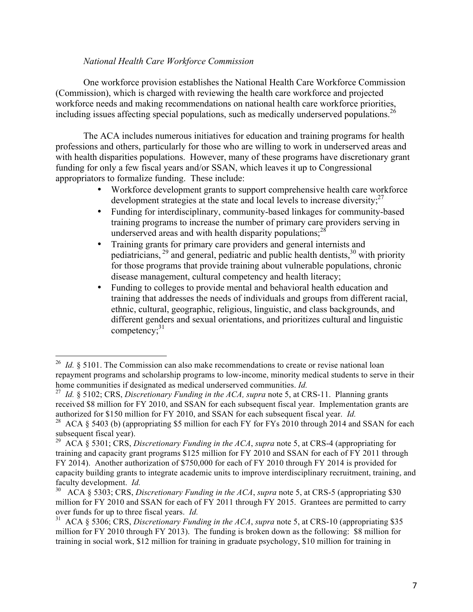#### *National Health Care Workforce Commission*

One workforce provision establishes the National Health Care Workforce Commission (Commission), which is charged with reviewing the health care workforce and projected workforce needs and making recommendations on national health care workforce priorities, including issues affecting special populations, such as medically underserved populations.<sup>26</sup>

The ACA includes numerous initiatives for education and training programs for health professions and others, particularly for those who are willing to work in underserved areas and with health disparities populations. However, many of these programs have discretionary grant funding for only a few fiscal years and/or SSAN, which leaves it up to Congressional appropriators to formalize funding. These include:

- Workforce development grants to support comprehensive health care workforce development strategies at the state and local levels to increase diversity;<sup>27</sup>
- Funding for interdisciplinary, community-based linkages for community-based training programs to increase the number of primary care providers serving in underserved areas and with health disparity populations;<sup>28</sup>
- Training grants for primary care providers and general internists and pediatricians,<sup>29</sup> and general, pediatric and public health dentists,<sup>30</sup> with priority for those programs that provide training about vulnerable populations, chronic disease management, cultural competency and health literacy;
- Funding to colleges to provide mental and behavioral health education and training that addresses the needs of individuals and groups from different racial, ethnic, cultural, geographic, religious, linguistic, and class backgrounds, and different genders and sexual orientations, and prioritizes cultural and linguistic competency; 31

<sup>&</sup>lt;sup>26</sup> *Id.* § 5101. The Commission can also make recommendations to create or revise national loan repayment programs and scholarship programs to low-income, minority medical students to serve in their home communities if designated as medical underserved communities. *Id.*

<sup>27</sup> *Id.* § 5102; CRS, *Discretionary Funding in the ACA, supra* note 5, at CRS-11. Planning grants received \$8 million for FY 2010, and SSAN for each subsequent fiscal year. Implementation grants are authorized for \$150 million for FY 2010, and SSAN for each subsequent fiscal year. *Id.*

<sup>&</sup>lt;sup>28</sup> ACA  $\S$  5403 (b) (appropriating \$5 million for each FY for FYs 2010 through 2014 and SSAN for each subsequent fiscal year).

<sup>&</sup>lt;sup>29</sup> ACA § 5301; CRS, *Discretionary Funding in the ACA*, *supra* note 5, at CRS-4 (appropriating for training and capacity grant programs \$125 million for FY 2010 and SSAN for each of FY 2011 through FY 2014). Another authorization of \$750,000 for each of FY 2010 through FY 2014 is provided for capacity building grants to integrate academic units to improve interdisciplinary recruitment, training, and faculty development. *Id.*

<sup>30</sup> ACA § 5303; CRS, *Discretionary Funding in the ACA*, *supra* note 5, at CRS-5 (appropriating \$30 million for FY 2010 and SSAN for each of FY 2011 through FY 2015. Grantees are permitted to carry over funds for up to three fiscal years. *Id.*

<sup>31</sup> ACA § 5306; CRS, *Discretionary Funding in the ACA*, *supra* note 5, at CRS-10 (appropriating \$35 million for FY 2010 through FY 2013). The funding is broken down as the following: \$8 million for training in social work, \$12 million for training in graduate psychology, \$10 million for training in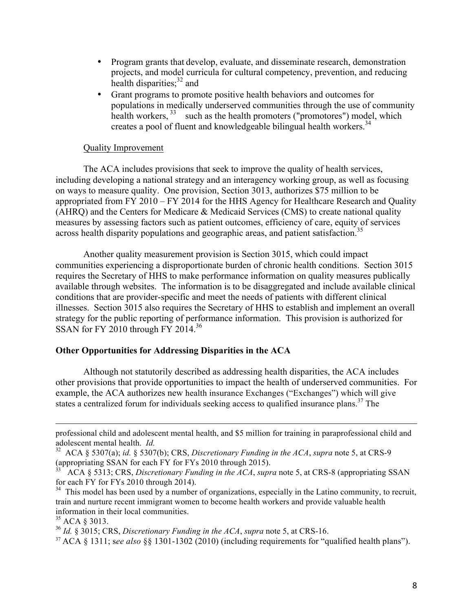- Program grants that develop, evaluate, and disseminate research, demonstration projects, and model curricula for cultural competency, prevention, and reducing health disparities; $32$  and
- Grant programs to promote positive health behaviors and outcomes for populations in medically underserved communities through the use of community health workers, <sup>33</sup> such as the health promoters ("promotores") model, which creates a pool of fluent and knowledgeable bilingual health workers.<sup>34</sup>

#### Quality Improvement

The ACA includes provisions that seek to improve the quality of health services, including developing a national strategy and an interagency working group, as well as focusing on ways to measure quality. One provision, Section 3013, authorizes \$75 million to be appropriated from FY 2010 – FY 2014 for the HHS Agency for Healthcare Research and Quality (AHRQ) and the Centers for Medicare & Medicaid Services (CMS) to create national quality measures by assessing factors such as patient outcomes, efficiency of care, equity of services across health disparity populations and geographic areas, and patient satisfaction.<sup>35</sup>

Another quality measurement provision is Section 3015, which could impact communities experiencing a disproportionate burden of chronic health conditions. Section 3015 requires the Secretary of HHS to make performance information on quality measures publically available through websites. The information is to be disaggregated and include available clinical conditions that are provider-specific and meet the needs of patients with different clinical illnesses. Section 3015 also requires the Secretary of HHS to establish and implement an overall strategy for the public reporting of performance information. This provision is authorized for SSAN for FY 2010 through FY 2014. $36$ 

### **Other Opportunities for Addressing Disparities in the ACA**

Although not statutorily described as addressing health disparities, the ACA includes other provisions that provide opportunities to impact the health of underserved communities. For example, the ACA authorizes new health insurance Exchanges ("Exchanges") which will give states a centralized forum for individuals seeking access to qualified insurance plans.<sup>37</sup> The

<sup>35</sup> ACA § 3013.

 $\overline{a}$ 

<sup>36</sup> *Id.* § 3015; CRS, *Discretionary Funding in the ACA*, *supra* note 5, at CRS-16.

<sup>37</sup> ACA § 1311; s*ee also* §§ 1301-1302 (2010) (including requirements for "qualified health plans").

professional child and adolescent mental health, and \$5 million for training in paraprofessional child and adolescent mental health. *Id.*

<sup>32</sup> ACA § 5307(a); *id.* § 5307(b); CRS, *Discretionary Funding in the ACA*, *supra* note 5, at CRS-9 (appropriating SSAN for each FY for FYs 2010 through 2015).

<sup>33</sup> ACA § 5313; CRS, *Discretionary Funding in the ACA*, *supra* note 5, at CRS-8 (appropriating SSAN for each FY for FYs 2010 through 2014).

 $34$  This model has been used by a number of organizations, especially in the Latino community, to recruit, train and nurture recent immigrant women to become health workers and provide valuable health information in their local communities.